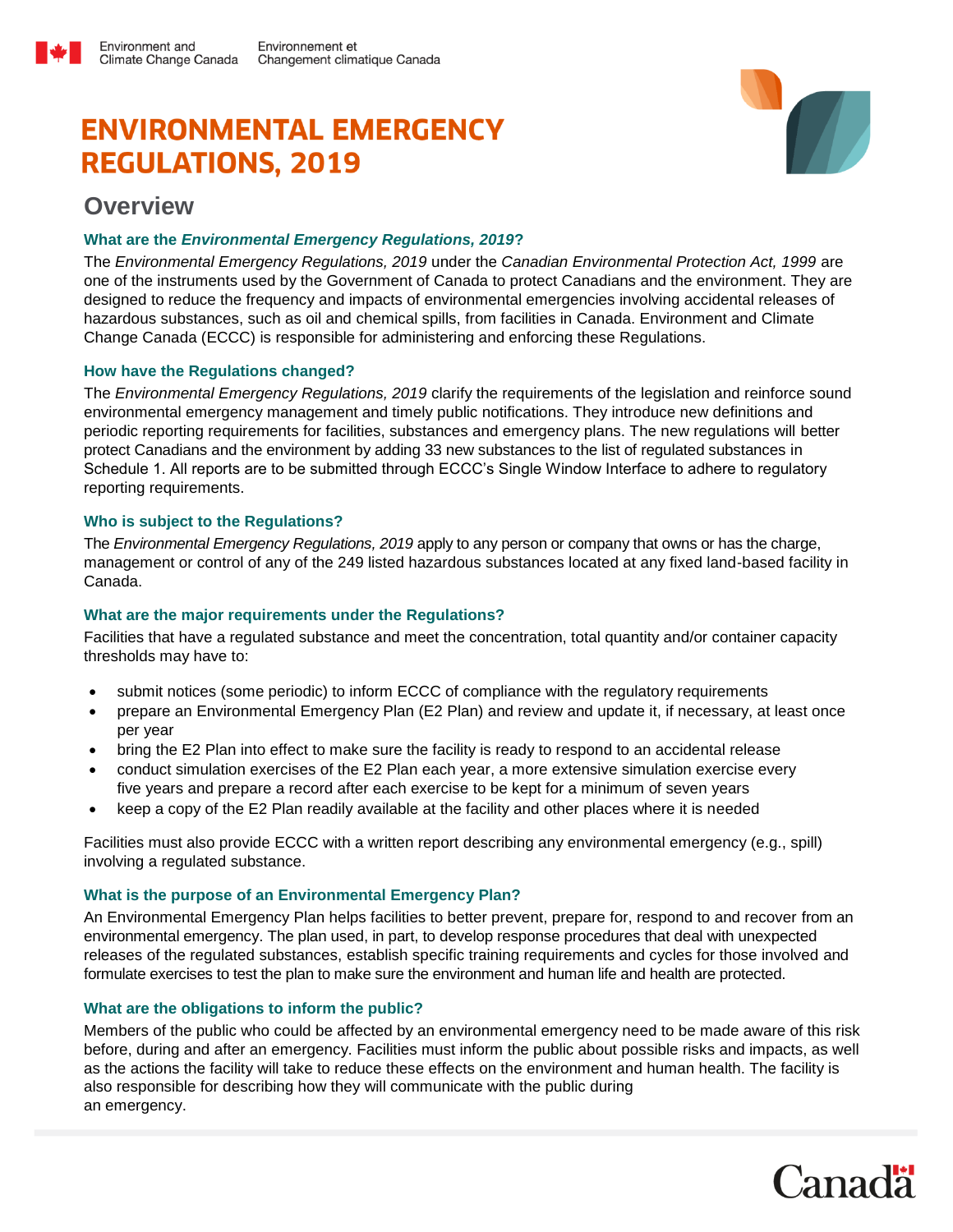# **ENVIRONMENTAL EMERGENCY REGULATIONS, 2019**



# **Overview**

Environment and

## **What are the** *Environmental Emergency Regulations, 2019***?**

The *Environmental Emergency Regulations, 2019* under the *Canadian Environmental Protection Act, 1999* are one of the instruments used by the Government of Canada to protect Canadians and the environment. They are designed to reduce the frequency and impacts of environmental emergencies involving accidental releases of hazardous substances, such as oil and chemical spills, from facilities in Canada. Environment and Climate Change Canada (ECCC) is responsible for administering and enforcing these Regulations.

### **How have the Regulations changed?**

The *Environmental Emergency Regulations, 2019* clarify the requirements of the legislation and reinforce sound environmental emergency management and timely public notifications. They introduce new definitions and periodic reporting requirements for facilities, substances and emergency plans. The new regulations will better protect Canadians and the environment by adding 33 new substances to the list of regulated substances in Schedule 1. All reports are to be submitted through ECCC's Single Window Interface to adhere to regulatory reporting requirements.

### **Who is subject to the Regulations?**

The *Environmental Emergency Regulations, 2019* apply to any person or company that owns or has the charge, management or control of any of the 249 listed hazardous substances located at any fixed land-based facility in Canada.

#### **What are the major requirements under the Regulations?**

Facilities that have a regulated substance and meet the concentration, total quantity and/or container capacity thresholds may have to:

- submit notices (some periodic) to inform ECCC of compliance with the regulatory requirements
- prepare an Environmental Emergency Plan (E2 Plan) and review and update it, if necessary, at least once per year
- bring the E2 Plan into effect to make sure the facility is ready to respond to an accidental release
- conduct simulation exercises of the E2 Plan each year, a more extensive simulation exercise every five years and prepare a record after each exercise to be kept for a minimum of seven years
- keep a copy of the E2 Plan readily available at the facility and other places where it is needed

Facilities must also provide ECCC with a written report describing any environmental emergency (e.g., spill) involving a regulated substance.

#### **What is the purpose of an Environmental Emergency Plan?**

An Environmental Emergency Plan helps facilities to better prevent, prepare for, respond to and recover from an environmental emergency. The plan used, in part, to develop response procedures that deal with unexpected releases of the regulated substances, establish specific training requirements and cycles for those involved and formulate exercises to test the plan to make sure the environment and human life and health are protected.

#### **What are the obligations to inform the public?**

Members of the public who could be affected by an environmental emergency need to be made aware of this risk before, during and after an emergency. Facilities must inform the public about possible risks and impacts, as well as the actions the facility will take to reduce these effects on the environment and human health. The facility is also responsible for describing how they will communicate with the public during an emergency.